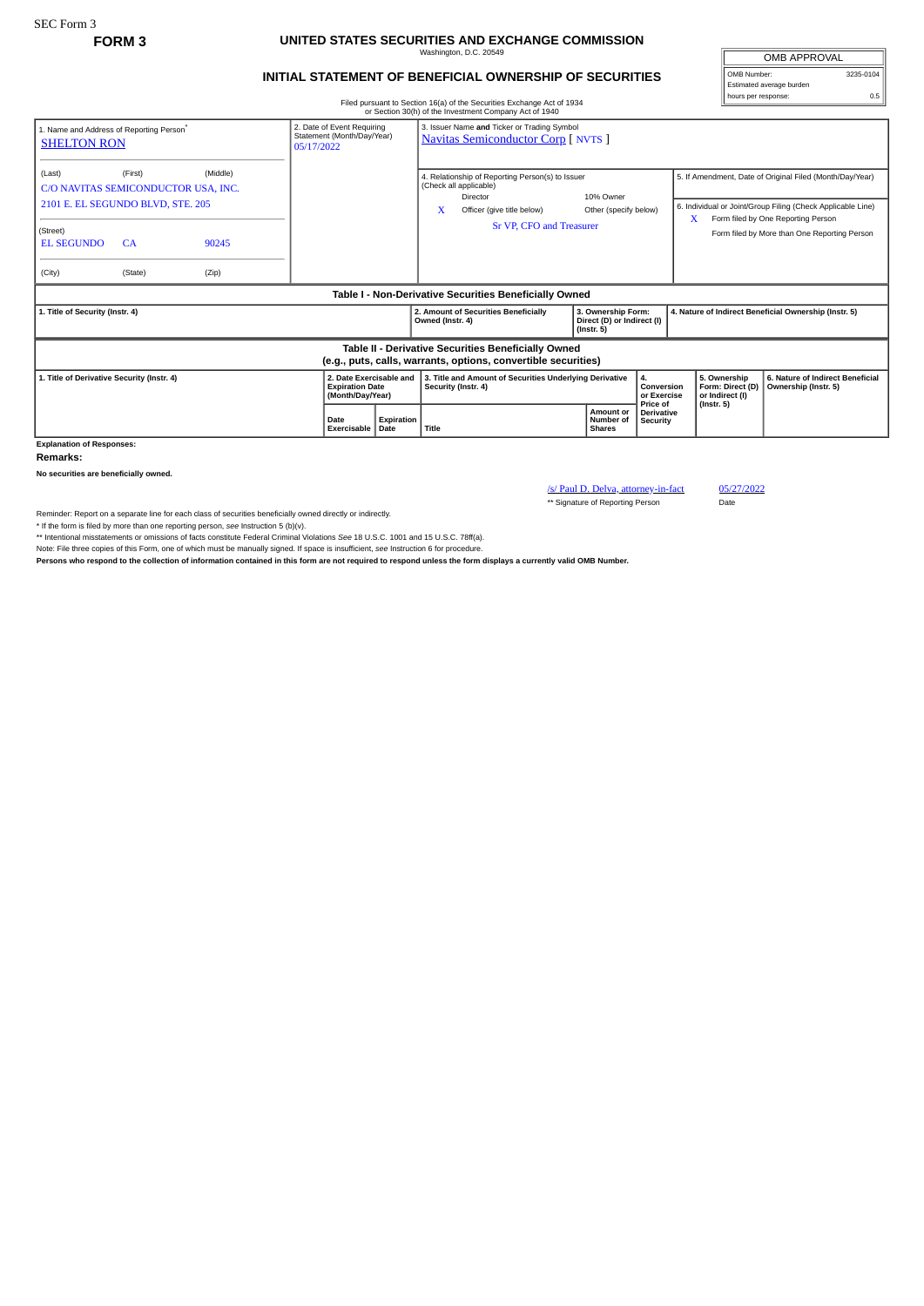## **FORM 3 UNITED STATES SECURITIES AND EXCHANGE COMMISSION** Washington, D.C. 20549

## **INITIAL STATEMENT OF BENEFICIAL OWNERSHIP OF SECURITIES**

OMB APPROVAL OMB Number: 3235-0104 Estimated average burden hours per response: 0.5

Filed pursuant to Section 16(a) of the Securities Exchange Act of 1934 or Section 30(h) of the Investment Company Act of 1940

| 1. Name and Address of Reporting Person<br><b>SHELTON RON</b>                                                         | 3. Issuer Name and Ticker or Trading Symbol<br>2. Date of Event Requiring<br>Statement (Month/Day/Year)<br><b>Navitas Semiconductor Corp [ NVTS ]</b><br>05/17/2022 |                |                                                                       |                    |                                                                                                                           |                                      |  |                                                                      |                                      |                                                                                                                                                                    |                                                          |  |
|-----------------------------------------------------------------------------------------------------------------------|---------------------------------------------------------------------------------------------------------------------------------------------------------------------|----------------|-----------------------------------------------------------------------|--------------------|---------------------------------------------------------------------------------------------------------------------------|--------------------------------------|--|----------------------------------------------------------------------|--------------------------------------|--------------------------------------------------------------------------------------------------------------------------------------------------------------------|----------------------------------------------------------|--|
| (Last)                                                                                                                | (Middle)<br>(First)<br>C/O NAVITAS SEMICONDUCTOR USA, INC.<br>2101 E. EL SEGUNDO BLVD, STE. 205                                                                     |                |                                                                       |                    | 4. Relationship of Reporting Person(s) to Issuer<br>(Check all applicable)<br>Director<br>X<br>Officer (give title below) |                                      |  | 10% Owner<br>Other (specify below)                                   |                                      | 5. If Amendment, Date of Original Filed (Month/Day/Year)<br>6. Individual or Joint/Group Filing (Check Applicable Line)<br>X<br>Form filed by One Reporting Person |                                                          |  |
| (Street)<br><b>EL SEGUNDO</b><br>(City)                                                                               | CA<br>(State)                                                                                                                                                       | 90245<br>(Zip) |                                                                       |                    | Sr VP. CFO and Treasurer                                                                                                  |                                      |  |                                                                      |                                      | Form filed by More than One Reporting Person                                                                                                                       |                                                          |  |
| Table I - Non-Derivative Securities Beneficially Owned                                                                |                                                                                                                                                                     |                |                                                                       |                    |                                                                                                                           |                                      |  |                                                                      |                                      |                                                                                                                                                                    |                                                          |  |
| 1. Title of Security (Instr. 4)                                                                                       |                                                                                                                                                                     |                |                                                                       |                    | Owned (Instr. 4)                                                                                                          | 2. Amount of Securities Beneficially |  | 3. Ownership Form:<br>Direct (D) or Indirect (I)<br>$($ lnstr. 5 $)$ |                                      |                                                                                                                                                                    | 4. Nature of Indirect Beneficial Ownership (Instr. 5)    |  |
| Table II - Derivative Securities Beneficially Owned<br>(e.g., puts, calls, warrants, options, convertible securities) |                                                                                                                                                                     |                |                                                                       |                    |                                                                                                                           |                                      |  |                                                                      |                                      |                                                                                                                                                                    |                                                          |  |
| 1. Title of Derivative Security (Instr. 4)                                                                            |                                                                                                                                                                     |                | 2. Date Exercisable and<br><b>Expiration Date</b><br>(Month/Day/Year) |                    | 3. Title and Amount of Securities Underlying Derivative<br>Security (Instr. 4)                                            |                                      |  | Conversion<br>or Exercise<br>Price of                                |                                      | 5. Ownership<br>Form: Direct (D)<br>or Indirect (I)                                                                                                                | 6. Nature of Indirect Beneficial<br>Ownership (Instr. 5) |  |
|                                                                                                                       |                                                                                                                                                                     |                | Date<br>Exercisable                                                   | Expiration<br>Date |                                                                                                                           | Title                                |  | Amount or<br>Number of<br><b>Shares</b>                              | <b>Derivative</b><br><b>Security</b> | $($ lnstr. 5 $)$                                                                                                                                                   |                                                          |  |

**Remarks:**

**No securities are beneficially owned.**

/s/ Paul D. Delva, attorney-in-fact 05/27/2022

\*\* Signature of Reporting Person Date

Reminder: Report on a separate line for each class of securities beneficially owned directly or indirectly.

\* If the form is filed by more than one reporting person, see Instruction 5 (b)(v).<br>\*\* Intentional misstatements or omissions of facts constitute Federal Criminal Violations See 18 U.S.C. 1001 and 15 U.S.C. 78ff(a).<br>Note:

**Persons who respond to the collection of information contained in this form are not required to respond unless the form displays a currently valid OMB Number.**